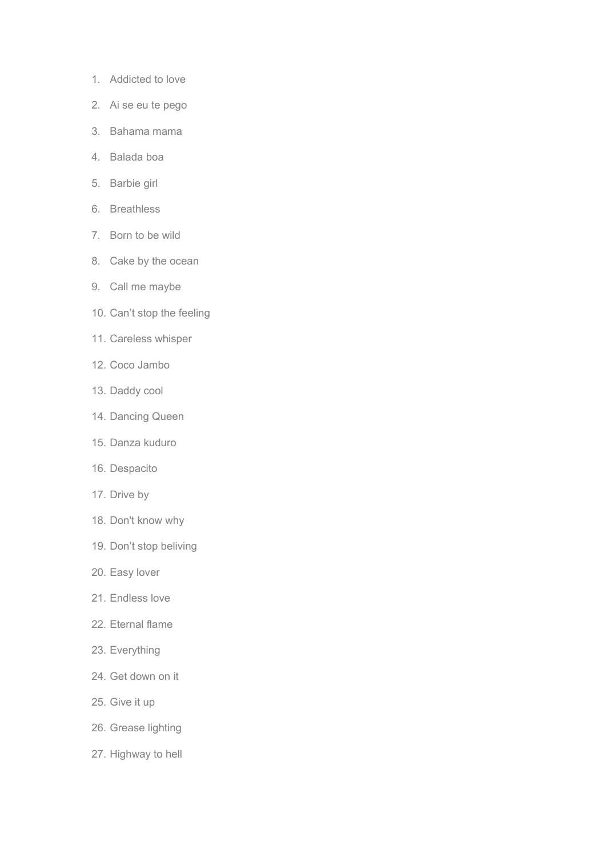- 1. Addicted to love
- 2. Ai se eu te pego
- 3. Bahama mama
- 4. Balada boa
- 5. Barbie girl
- 6. Breathless
- 7. Born to be wild
- 8. Cake by the ocean
- 9. Call me maybe
- 10. Can't stop the feeling
- 11. Careless whisper
- 12. Coco Jambo
- 13. Daddy cool
- 14. Dancing Queen
- 15. Danza kuduro
- 16. Despacito
- 17. Drive by
- 18. Don't know why
- 19. Don't stop beliving
- 20. Easy lover
- 21. Endless love
- 22. Eternal flame
- 23. Everything
- 24. Get down on it
- 25. Give it up
- 26. Grease lighting
- 27. Highway to hell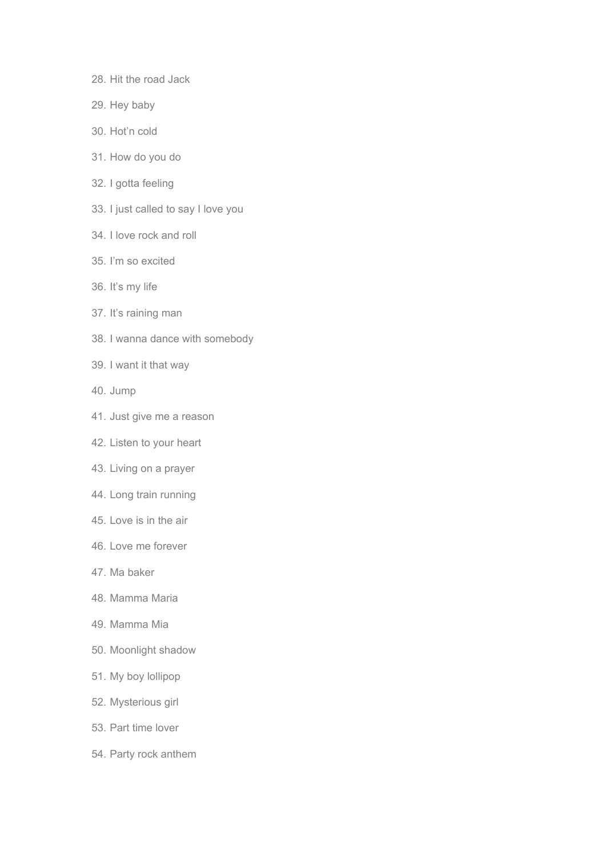- 28. Hit the road Jack
- 29. Hey baby
- 30. Hot'n cold
- 31. How do you do
- 32. I gotta feeling
- 33. I just called to say I love you
- 34. I love rock and roll
- 35. I'm so excited
- 36. It's my life
- 37. It's raining man
- 38. I wanna dance with somebody
- 39. I want it that way
- 40. Jump
- 41. Just give me a reason
- 42. Listen to your heart
- 43. Living on a prayer
- 44. Long train running
- 45. Love is in the air
- 46. Love me forever
- 47. Ma baker
- 48. Mamma Maria
- 49. Mamma Mia
- 50. Moonlight shadow
- 51. My boy lollipop
- 52. Mysterious girl
- 53. Part time lover
- 54. Party rock anthem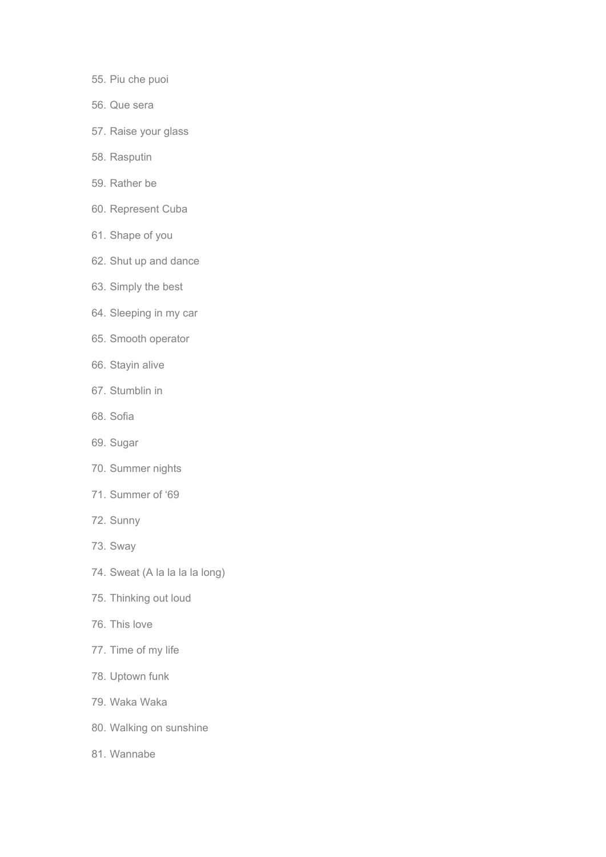- 55. Piu che puoi
- 56. Que sera
- 57. Raise your glass
- 58. Rasputin
- 59. Rather be
- 60. Represent Cuba
- 61. Shape of you
- 62. Shut up and dance
- 63. Simply the best
- 64. Sleeping in my car
- 65. Smooth operator
- 66. Stayin alive
- 67. Stumblin in
- 68. Sofia
- 69. Sugar
- 70. Summer nights
- 71. Summer of '69
- 72. Sunny
- 73. Sway
- 74. Sweat (A la la la la long)
- 75. Thinking out loud
- 76. This love
- 77. Time of my life
- 78. Uptown funk
- 79. Waka Waka
- 80. Walking on sunshine
- 81. Wannabe